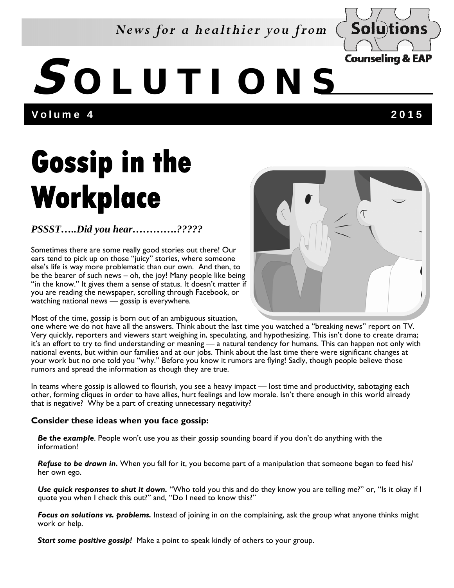### *News for a healthier you from*



# **S OLUTIONS**

Volume 4 2015

## **Gossip in the Workplace**

### *PSSST…..Did you hear………….?????*

Sometimes there are some really good stories out there! Our ears tend to pick up on those "juicy" stories, where someone else's life is way more problematic than our own. And then, to be the bearer of such news – oh, the joy! Many people like being "in the know." It gives them a sense of status. It doesn't matter if you are reading the newspaper, scrolling through Facebook, or watching national news — gossip is everywhere.



Most of the time, gossip is born out of an ambiguous situation,

one where we do not have all the answers. Think about the last time you watched a "breaking news" report on TV. Very quickly, reporters and viewers start weighing in, speculating, and hypothesizing. This isn't done to create drama; it's an effort to try to find understanding or meaning — a natural tendency for humans. This can happen not only with national events, but within our families and at our jobs. Think about the last time there were significant changes at your work but no one told you "why." Before you know it rumors are flying! Sadly, though people believe those rumors and spread the information as though they are true.

In teams where gossip is allowed to flourish, you see a heavy impact — lost time and productivity, sabotaging each other, forming cliques in order to have allies, hurt feelings and low morale. Isn't there enough in this world already that is negative? Why be a part of creating unnecessary negativity?

#### **Consider these ideas when you face gossip:**

*Be the example*. People won't use you as their gossip sounding board if you don't do anything with the information!

*Refuse to be drawn in.* When you fall for it, you become part of a manipulation that someone began to feed his/ her own ego.

*Use quick responses to shut it down.* "Who told you this and do they know you are telling me?" or, "Is it okay if I quote you when I check this out?" and, "Do I need to know this?"

*Focus on solutions vs. problems.* Instead of joining in on the complaining, ask the group what anyone thinks might work or help.

*Start some positive gossip!* Make a point to speak kindly of others to your group.